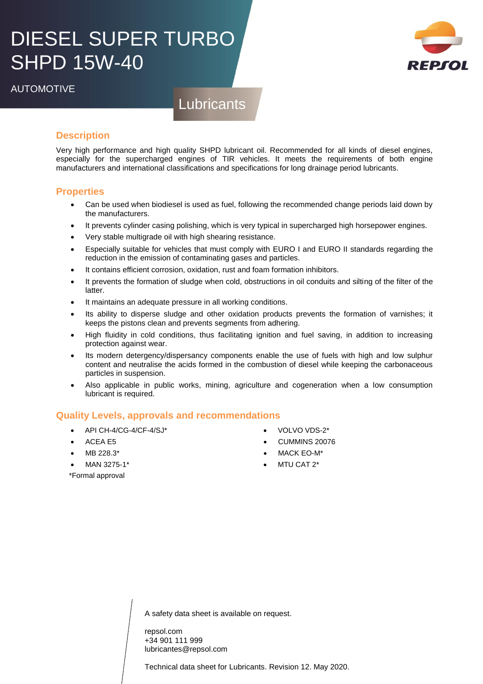# DIESEL SUPER TURBO SHPD 15W-40



**Lubricants** 

## **Description**

Very high performance and high quality SHPD lubricant oil. Recommended for all kinds of diesel engines, especially for the supercharged engines of TIR vehicles. It meets the requirements of both engine manufacturers and international classifications and specifications for long drainage period lubricants.

### **Properties**

- Can be used when biodiesel is used as fuel, following the recommended change periods laid down by the manufacturers.
- It prevents cylinder casing polishing, which is very typical in supercharged high horsepower engines.
- Very stable multigrade oil with high shearing resistance.
- Especially suitable for vehicles that must comply with EURO I and EURO II standards regarding the reduction in the emission of contaminating gases and particles.
- It contains efficient corrosion, oxidation, rust and foam formation inhibitors.
- It prevents the formation of sludge when cold, obstructions in oil conduits and silting of the filter of the latter.
- It maintains an adequate pressure in all working conditions.
- Its ability to disperse sludge and other oxidation products prevents the formation of varnishes; it keeps the pistons clean and prevents segments from adhering.
- High fluidity in cold conditions, thus facilitating ignition and fuel saving, in addition to increasing protection against wear.
- Its modern detergency/dispersancy components enable the use of fuels with high and low sulphur content and neutralise the acids formed in the combustion of diesel while keeping the carbonaceous particles in suspension.
- Also applicable in public works, mining, agriculture and cogeneration when a low consumption lubricant is required.

#### **Quality Levels, approvals and recommendations**

- API CH-4/CG-4/CF-4/SJ\*
- ACEA E5
- MB 228.3\*
- 
- MAN 3275-1\*
- 
- VOLVO VDS-2\*
- CUMMINS 20076
- MACK EO-M\*
- MTU CAT 2\*

\*Formal approval

A safety data sheet is available on request.

repsol.com +34 901 111 999 lubricantes@repsol.com

Technical data sheet for Lubricants. Revision 12. May 2020.